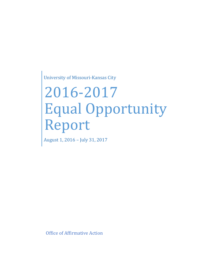University of Missouri-Kansas City

# 2016-2017 Equal Opportunity Report

August 1, 2016 – July 31, 2017

Office of Affirmative Action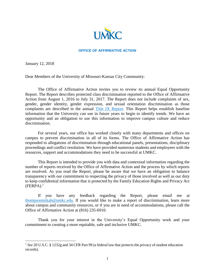

#### **OFFICE OF AFFIRMATIVE ACTION**

January 12, 2018

 $\overline{\phantom{a}}$ 

Dear Members of the University of Missouri-Kansas City Community:

The Office of Affirmative Action invites you to review its annual Equal Opportunity Report. The Report describes protected class discrimination reported to the Office of Affirmative Action from August 1, 2016 to July 31, 2017. The Report does not include complaints of sex, gender, gender identity, gender expression, and sexual orientation discrimination as those complaints are described in the annual [Title IX Report.](https://info.umkc.edu/title9/wp-content/uploads/2017/12/2017-Title-IX-Report.pdf) This Report helps establish baseline information that the University can use in future years to begin to identify trends. We have an opportunity and an obligation to use this information to improve campus culture and reduce discrimination.

For several years, our office has worked closely with many departments and offices on campus to prevent discrimination in all of its forms. The Office of Affirmative Action has responded to allegations of discrimination through educational panels, presentations, disciplinary proceedings and conflict resolution. We have provided numerous students and employees with the resources, support and accommodations they need to be successful at UMKC.

This Report is intended to provide you with data and contextual information regarding the number of reports received by the Office of Affirmative Action and the process by which reports are resolved. As you read the Report, please be aware that we have an obligation to balance transparency with our commitment to respecting the privacy of those involved as well as our duty to keep confidential information that is protected by the Family Education Rights and Privacy Act  $(FERPA).<sup>1</sup>$ 

If you have any feedback regarding the Report, please email me at [thompsonmikah@umkc.edu.](mailto:title9@missouri.edu) If you would like to make a report of discrimination, learn more about campus and community resources, or if you are in need of accommodations, please call the Office of Affirmative Action at (816) 235-6910.

Thank you for your interest in the University's Equal Opportunity work and your commitment to creating a more equitable, safe and inclusive UMKC.

<sup>&</sup>lt;sup>1</sup> See 20 U.S.C. § 1232g and 34 CFR Part 99 (a federal law that protects the privacy of student education records).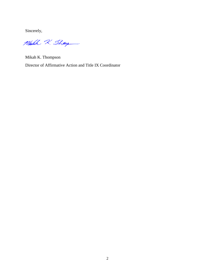Sincerely,

Make 2. Thay

Mikah K. Thompson Director of Affirmative Action and Title IX Coordinator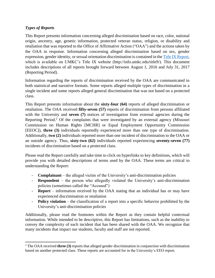# *Types of Reports*

l

This Report presents information concerning alleged discrimination based on race, color, national origin, ancestry, age, genetic information, protected veteran status, religion, or disability and retaliation that was reported to the Office of Affirmative Action ("OAA") and the actions taken by the OAA in response. Information concerning alleged discrimination based on sex, gender expression, gender identity, or sexual orientation discrimination is contained in th[e Title IX Report,](https://info.umkc.edu/title9/wp-content/uploads/2017/12/2017-Title-IX-Report.pdf) which is available on UMKC's Title IX website (http://info.umkc.edu/title9/). This document includes descriptions of all reports brought forward between August 1, 2016 and July 31, 2017 (Reporting Period).

Information regarding the reports of discrimination received by the OAA are communicated in both statistical and narrative formats. Some reports alleged multiple types of discrimination in a single incident and some reports alleged general discrimination that was not based on a protected class.

This Report presents information about the **sixty-four (64)** reports of alleged discrimination or retaliation. The OAA received **fifty-seven (57)** reports of discrimination from persons affiliated with the University and **seven** (7) notices of investigation from external agencies during the Reporting Period.<sup>2</sup> Of the complaints that were investigated by an external agency (Missouri Commission on Human Rights [MCHR] or Equal Employment Opportunity Commission [EEOC]), **three (3)** individuals reportedly experienced more than one type of discrimination. Additionally, **two (2)** individuals reported more than one incident of discrimination to the OAA or an outside agency. Thus, **sixty-two (62)** individuals reported experiencing **seventy-seven (77)** incidents of discrimination based on a protected class.

Please read the Report carefully and take time to click on hyperlinks to key definitions, which will provide you with detailed descriptions of terms used by the OAA. These terms are critical to understanding the Report:

- **Complainant**  the alleged victim of the University's anti-discrimination policies
- **Respondent**  the person who allegedly violated the University's anti-discrimination policies (sometimes called the "Accused")
- **Report**  information received by the OAA stating that an individual has or may have experienced discrimination or retaliation
- **Policy violation**  the classification of a report into a specific behavior prohibited by the University's anti-discrimination policies

Additionally, please read the footnotes within the Report as they contain helpful contextual information. While intended to be descriptive, this Report has limitations, such as the inability to convey the complexity of each incident that has been shared with the OAA. We recognize that many incidents that impact our students, faculty and staff are not reported.

<sup>2</sup> The OAA received **three (3)** reports that alleged gender discrimination in conjunction with discrimination based on another protected class. These reports are accounted for in the University's EEO report.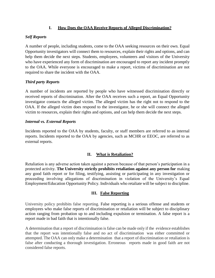## **I. How Does the OAA Receive Reports of Alleged Discrimination?**

## *Self Reports*

A number of people, including students, come to the OAA seeking resources on their own. Equal Opportunity investigators will connect them to resources, explain their rights and options, and can help them decide the next steps. Students, employees, volunteers and visitors of the University who have experienced any form of discrimination are encouraged to report any incident promptly to the OAA. While everyone is encouraged to make a report, victims of discrimination are not required to share the incident with the OAA.

# *Third party Reports*

A number of incidents are reported by people who have witnessed discrimination directly or received reports of discrimination. After the OAA receives such a report, an Equal Opportunity investigator contacts the alleged victim. The alleged victim has the right not to respond to the OAA. If the alleged victim does respond to the investigator, he or she will connect the alleged victim to resources, explain their rights and options, and can help them decide the next steps.

## *Internal vs. External Reports*

Incidents reported to the OAA by students, faculty, or staff members are referred to as internal reports. Incidents reported to the OAA by agencies, such as MCHR or EEOC, are referred to as external reports.

# **II. What is Retaliation?**

Retaliation is any adverse action taken against a person because of that person's participation in a protected activity. **The University strictly prohibits retaliation against any person for** making any good faith report or for filing, testifying, assisting or participating in any investigation or proceeding involving allegations of discrimination in violation of the University's Equal Employment/Education Opportunity Policy. Individuals who retaliate will be subject to discipline.

## **III. False Reporting**

University policy prohibits false reporting. False reporting is a serious offense and students or employees who make false reports of discrimination or retaliation will be subject to disciplinary action ranging from probation up to and including expulsion or termination. A false report is a report made in bad faith that is intentionally false.

A determination that a report of discrimination is false can be made only if the evidence establishes that the report was intentionally false and no act of discrimination was either committed or attempted. The OAA can only make a determination that a report of discrimination or retaliation is false after conducting a thorough investigation. Erroneous reports made in good faith are not considered false reports.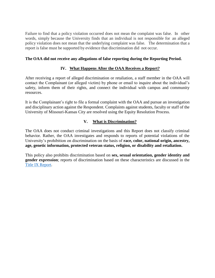Failure to find that a policy violation occurred does not mean the complaint was false. In other words, simply because the University finds that an individual is not responsible for an alleged policy violation does not mean that the underlying complaint was false. The determination that a report is false must be supported by evidence that discrimination did not occur.

#### **The OAA did not receive any allegations of false reporting during the Reporting Period.**

#### **IV. What Happens After the OAA Receives a Report?**

After receiving a report of alleged discrimination or retaliation, a staff member in the OAA will contact the Complainant (or alleged victim) by phone or email to inquire about the individual's safety, inform them of their rights, and connect the individual with campus and community resources.

It is the Complainant's right to file a formal complaint with the OAA and pursue an investigation and disciplinary action against the Respondent. Complaints against students, faculty or staff of the University of Missouri-Kansas City are resolved using the Equity Resolution Process.

## **V. What is Discrimination?**

The OAA does not conduct criminal investigations and this Report does not classify criminal behavior. Rather, the OAA investigates and responds to reports of potential violations of the University's prohibition on discrimination on the basis of **race, color, national origin, ancestry, age, genetic information, protected veteran status, religion, or disability and retaliation.**

This policy also prohibits discrimination based on **sex, sexual orientation, gender identity and gender expression**; reports of discrimination based on these characteristics are discussed in the [Title IX Report.](https://info.umkc.edu/title9/wp-content/uploads/2017/12/2017-Title-IX-Report.pdf)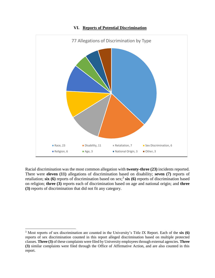

#### **VI. Reports of Potential Discrimination**

Racial discrimination was the most common allegation with **twenty-three (23)** incidents reported. There were **eleven (11)** allegations of discrimination based on disability; **seven (7)** reports of retaliation; six (6) reports of discrimination based on sex;<sup>3</sup> six (6) reports of discrimination based on religion; **three (3)** reports each of discrimination based on age and national origin; and **three (3)** reports of discrimination that did not fit any category.

 $\overline{\phantom{a}}$ 

<sup>3</sup> Most reports of sex discrimination are counted in the University's Title IX Report. Each of the **six (6)**  reports of sex discrimination counted in this report alleged discrimination based on multiple protected classes. **Three (3)** of these complaints were filed by University employees through external agencies. **Three (3)** similar complaints were filed through the Office of Affirmative Action, and are also counted in this report.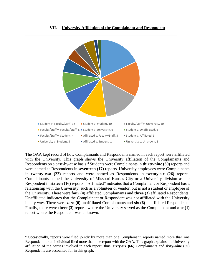

**VII. University Affiliation of the Complainant and Respondent**

The OAA kept record of how Complainants and Respondents named in each report were affiliated with the University. This graph shows the University affiliation of the Complainants and Respondents on a case-by-case basis. <sup>4</sup> Students were Complainants in **thirty-nine (39)** reports and were named as Respondents in **seventeen (17)** reports. University employees were Complainants in **twenty-two (22)** reports and were named as Respondents in **twenty-six (26)** reports. Complainants named the University of Missouri-Kansas City or a University division as the Respondent in **sixteen (16)** reports. "Affiliated" indicates that a Complainant or Respondent has a relationship with the University, such as a volunteer or vendor, but is not a student or employee of the University. There were **four (4)** affiliated Complainants and **three (3)** affiliated Respondents. Unaffiliated indicates that the Complainant or Respondent was not affiliated with the University in any way. There were **zero (0)** unaffiliated Complainants and **six (6)** unaffiliated Respondents. Finally, there were **three (3)** reports where the University served as the Complainant and **one (1)**  report where the Respondent was unknown.

l

<sup>4</sup> Occasionally, reports were filed jointly by more than one Complainant, reports named more than one Respondent, or an individual filed more than one report with the OAA. This graph explains the University affiliation of the parties involved in each report; thus, **sixty-six (66)** Complainants and **sixty-nine (69)**  Respondents are accounted for in this graph.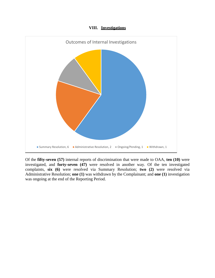#### **VIII. Investigations**



Of the **fifty-seven (57)** internal reports of discrimination that were made to OAA, **ten (10)** were investigated, and **forty-seven (47)** were resolved in another way. Of the ten investigated complaints, **six (6)** were resolved via Summary Resolution; **two (2)** were resolved via Administrative Resolution; **one (1)** was withdrawn by the Complainant; and **one (1)** investigation was ongoing at the end of the Reporting Period.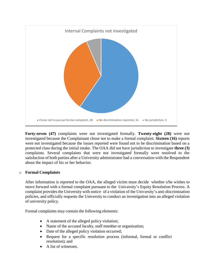

**Forty-seven (47)** complaints were not investigated formally. **Twenty-eight (28)** were not investigated because the Complainant chose not to make a formal complaint. **Sixteen (16)** reports were not investigated because the issues reported were found not to be discrimination based on a protected class during the initial intake. The OAA did not have jurisdiction to investigate **three (3)**  complaints. Several complaints that were not investigated formally were resolved to the satisfaction of both parties after a University administrator had a conversation with the Respondent about the impact of his or her behavior.

## o **Formal Complaints**

After information is reported to the OAA, the alleged victim must decide whether s/he wishes to move forward with a formal complaint pursuant to the University's Equity Resolution Process. A complaint provides the University with notice of a violation of the University's anti-discrimination policies, and officially requests the University to conduct an investigation into an alleged violation of university policy.

Formal complaints may contain the following elements:

- A statement of the alleged policy violation;
- Name of the accused faculty, staff member or organization;
- Date of the alleged policy violation occurred;
- Request for a specific resolution process (informal, formal or conflict resolution); and
- A list of witnesses.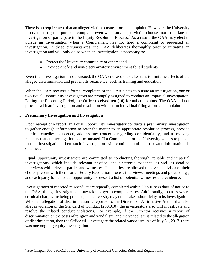There is no requirement that an alleged victim pursue a formal complaint. However, the University reserves the right to pursue a complaint even when an alleged victim chooses not to initiate an investigation or participate in the Equity Resolution Process.<sup>5</sup> As a result, the OAA may elect to pursue an investigation when a Complainant has not filed a complaint or requested an investigation. In these circumstances, the OAA deliberates thoroughly prior to initiating an investigation and will only do so when an investigation is necessary to:

- Protect the University community or others; and
- Provide a safe and non-discriminatory environment for all students.

Even if an investigation is not pursued, the OAA endeavors to take steps to limit the effects of the alleged discrimination and prevent its recurrence, such as training and education.

When the OAA receives a formal complaint, or the OAA elects to pursue an investigation, one or two Equal Opportunity investigators are promptly assigned to conduct an impartial investigation. During the Reporting Period, the Office received **ten (10)** formal complaints. The OAA did not proceed with an investigation and resolution without an individual filing a formal complaint.

## o **Preliminary Investigation and Investigation**

 $\overline{a}$ 

Upon receipt of a report, an Equal Opportunity Investigator conducts a preliminary investigation to gather enough information to refer the matter to an appropriate resolution process, provide interim remedies as needed, address any concerns regarding confidentiality, and assess any requests that an investigation not be pursued. If a Complainant or the University wishes to pursue further investigation, then such investigation will continue until all relevant information is obtained.

Equal Opportunity investigators are committed to conducting thorough, reliable and impartial investigations, which include relevant physical and electronic evidence, as well as detailed interviews with relevant parties and witnesses. The parties are allowed to have an advisor of their choice present with them for all Equity Resolution Process interviews, meetings and proceedings, and each party has an equal opportunity to present a list of potential witnesses and evidence.

Investigations of reported misconduct are typically completed within 30 business days of notice to the OAA, though investigations may take longer in complex cases. Additionally, in cases where criminal charges are being pursued, the University may undertake a short delay in its investigation. When an allegation of discrimination is reported to the Director of Affirmative Action that also alleges violation of the Standard of Conduct (200.010), the investigators also will investigate and resolve the related conduct violations. For example, if the Director receives a report of discrimination on the basis of religion and vandalism, and the vandalism is related to the allegation of discrimination, then the Office will investigate the related vandalism. As of July 31, 2017, there was one ongoing equity investigation.

<sup>5</sup> *See* Chapter 600.030.C.2 of the University of Missouri Collected Rules and Regulations.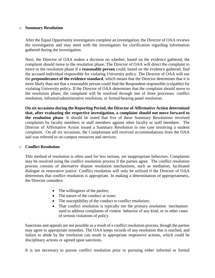#### o **Summary Resolution**

After the Equal Opportunity investigators complete an investigation, the Director of OAA reviews the investigation and may meet with the investigators for clarification regarding information gathered during the investigation.

Next, the Director of OAA makes a decision on whether, based on the evidence gathered, the complaint should move to the resolution phase. The Director of OAA will direct the complaint to move to the resolution phase if a **reasonable person** could, based on the evidence gathered, find the accused individual responsible for violating University policy. The Director of OAA will use the **preponderance of the evidence standard**, which means that the Director determines that it is more likely than not that a reasonable person could find the Respondent responsible (culpable) for violating University policy. If the Director of OAA determines that the complaint should move to the resolution phase, the complaint will be resolved through one of three processes: conflict resolution, informal/administrative resolution, or formal/hearing panel resolution.

**On six occasions during the Reporting Period, the Director of Affirmative Action determined that, after evaluating the respective investigation, a complaint should not move forward to the resolution phase**. It should be noted that five of these Summary Resolutions involved complaints by faculty members or staff members against other faculty or staff members. The Director of Affirmative Action issued a Summary Resolution in one case involving a student complaint.On all six occasions, the Complainant still received accommodations from the OAA and was referred to on-campus resources and services.

#### o **Conflict Resolution**

This method of resolution is often used for less serious, yet inappropriate behaviors. Complaints may be resolved using the conflict resolution process if the parties agree. The conflict resolution process consists of alternative dispute resolution mechanisms, such as mediation, facilitated dialogue or restorative justice. Conflict resolution will only be utilized if the Director of OAA determines that conflict resolution is appropriate. In making a determination of appropriateness, the Director considers:

- The willingness of the parties;
- The nature of the conduct at issue;
- The susceptibility of the conduct to conflict resolution;
- That conflict resolution is typically not the primary resolution mechanism used to address complaints of violent behavior of any kind, or in other cases of serious violations of policy.

Sanctions and appeals are not possible as a result of a conflict resolution process, though the parties may agree to appropriate remedies. The OAA keeps records of any resolution that is reached, and failure to abide by the resolution can result in appropriate responsive actions, which could be disciplinary actions or agreed upon sanctions.

It is not necessary to pursue conflict resolution prior to pursuing either informal or formal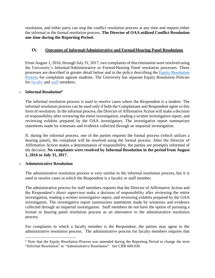resolution, and either party can stop the conflict resolution process at any time and request either the informal or the formal resolution process. **The Director of OAA utilized Conflict Resolution one time during the Reporting Period.**

## **IX. Outcomes of Informal/Administrative and Formal/Hearing Panel Resolutions**

From August 1, 2016, through July 31, 2017, two complaints of discrimination were resolved using the University's Informal/Administrative or Formal/Hearing Panel resolution processes. These processes are described in greater detail below and in the policy describing the [Equity Resolution](https://www.umsystem.edu/ums/rules/collected_rules/equal_employment_educational_opportunity/ch600/600.030_equity_resolution_process_for_resolving_complaints_of_harassment)  [Process](https://www.umsystem.edu/ums/rules/collected_rules/equal_employment_educational_opportunity/ch600/600.030_equity_resolution_process_for_resolving_complaints_of_harassment) for complaints against students. The University has separate Equity Resolution Policies for [faculty](https://www.umsystem.edu/ums/rules/collected_rules/equal_employment_educational_opportunity/ch600/600.040_equity_resolution_process_for_resolving_complaints_of_harassment) and [staff](https://www.umsystem.edu/ums/rules/collected_rules/equal_employment_educational_opportunity/ch600/chapter_600.050_equity_resolution_process_for_resolving_complaints) members.

#### o **Informal Resolution<sup>6</sup>**

The informal resolution process is used to resolve cases where the Respondent is a student. The informal resolution process can be used only if both the Complainant and Respondent agree to this form of resolution. In the informal process, the Director of Affirmative Action will make a decision of responsibility after reviewing the entire investigation, reading a written investigative report, and reviewing exhibits prepared by the OAA investigators. The investigative report summarizes statements made by witnesses and evidence collected through an impartial investigation.

If, during the informal process, one of the parties requests the formal process (which utilizes a hearing panel), the complaint will be resolved using the formal process. After the Director of Affirmative Action makes a determination of responsibility, the parties are promptly informed of the decision. **No complaints were resolved by Informal Resolution in the period from August 1, 2016 to July 31, 2017.**

## o **Administrative Resolution**

l

The administrative resolution process is very similar to the informal resolution process, but it is used to resolve cases in which the Respondent is a faculty or staff member.

The administrative process for staff members requires that the Director of Affirmative Action and the Respondent's direct supervisor make a decision of responsibility after reviewing the entire investigation, reading a written investigative report, and reviewing exhibits prepared by the OAA investigators. The investigative report summarizes statements made by witnesses and evidence collected through an impartial investigation. Staff members do not have the option of pursuing a formal or hearing panel resolution process as an alternative to the administrative resolution process.

For complaints in which a faculty member is the Respondent, the parties may agree to the administrative resolution process. The administrative process for faculty members requires that

<sup>&</sup>lt;sup>6</sup> Note that the Equity Resolution Process was amended during the Reporting Period to change the term "Informal Resolution" to "Administrative Resolution". *See* CRR 600.030.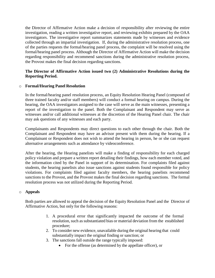the Director of Affirmative Action make a decision of responsibility after reviewing the entire investigation, reading a written investigative report, and reviewing exhibits prepared by the OAA investigators. The investigative report summarizes statements made by witnesses and evidence collected through an impartial investigation. If, during the administrative resolution process, one of the parties requests the formal/hearing panel process, the complaint will be resolved using the formal/hearing panel process. Although the Director of Affirmative Action will make the decision regarding responsibility and recommend sanctions during the administrative resolution process, the Provost makes the final decision regarding sanctions.

#### **The Director of Affirmative Action issued two (2) Administrative Resolutions during the Reporting Period.**

#### o **Formal/Hearing Panel Resolution**

In the formal/hearing panel resolution process, an Equity Resolution Hearing Panel (composed of three trained faculty and/or staff members) will conduct a formal hearing on campus. During the hearing, the OAA investigators assigned to the case will serve as the main witnesses, presenting a report of the investigation to the panel. Both the Complainant and Respondent may serve as witnesses and/or call additional witnesses at the discretion of the Hearing Panel chair. The chair may ask questions of any witnesses and each party.

Complainants and Respondents may direct questions to each other through the chair. Both the Complainant and Respondent may have an advisor present with them during the hearing. If a Complainant or Respondent does not wish to attend the hearing in person, he or she can request alternative arrangements such as attendance by videoconference.

After the hearing, the Hearing panelists will make a finding of responsibility for each charged policy violation and prepare a written report detailing their findings, how each member voted, and the information cited by the Panel in support of its determination. For complaints filed against students, the hearing panelists also issue sanctions against students found responsible for policy violations. For complaints filed against faculty members, the hearing panelists recommend sanctions to the Provost, and the Provost makes the final decision regarding sanctions. The formal resolution process was not utilized during the Reporting Period.

#### o **Appeals**

Both parties are allowed to appeal the decision of the Equity Resolution Panel and the Director of Affirmative Action, but only for the following reasons:

- 1. A procedural error that significantly impacted the outcome of the formal resolution, such as substantiated bias or material deviation from the established procedure;
- 2. To consider new evidence, unavailable during the original hearing that could substantially impact the original finding or sanction; or
- 3. The sanctions fall outside the range typically imposed:
	- For the offense (as determined by the appellate officer), or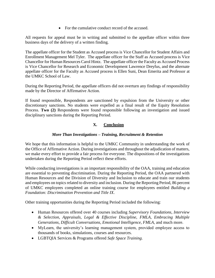• For the cumulative conduct record of the accused.

All requests for appeal must be in writing and submitted to the appellate officer within three business days of the delivery of a written finding.

The appellate officer for the Student as Accused process is Vice Chancellor for Student Affairs and Enrollment Management Mel Tyler. The appellate officer for the Staff as Accused process is Vice Chancellor for Human Resources Carol Hintz. The appellate officer the Faculty as Accused Process is Vice Chancellor for Research and Economic Development Lawrence Dreyfus, and the alternate appellate officer for the Faculty as Accused process is Ellen Suni, Dean Emerita and Professor at the UMKC School of Law.

During the Reporting Period, the appellate officers did not overturn any findings of responsibility made by the Director of Affirmative Action.

If found responsible, Respondents are sanctioned by expulsion from the University or other discretionary sanctions. No students were expelled as a final result of the Equity Resolution Process. **Two (2)** Respondents were found responsible following an investigation and issued disciplinary sanctions during the Reporting Period.

# **X. Conclusion**

## *More Than Investigations – Training, Recruitment & Retention*

We hope that this information is helpful to the UMKC Community in understanding the work of the Office of Affirmative Action. During investigations and throughout the adjudication of matters, we make every effort to provide a fair process for everyone. The dispositions of the investigations undertaken during the Reporting Period reflect these efforts.

While conducting investigations is an important responsibility of the OAA, training and education are essential to preventing discrimination. During the Reporting Period, the OAA partnered with Human Resources and the Division of Diversity and Inclusion to educate and train our students and employees on topics related to diversity and inclusion. During the Reporting Period, 86 percent of UMKC employees completed an online training course for employees entitled *Building a Foundation: Discrimination Prevention and Title IX*.

Other training opportunities during the Reporting Period included the following:

- Human Resources offered over 40 courses including *Supervisory Foundations, Interview & Selection, Appraisals, Legal & Effective Discipline, FMLA, Embracing Multiple Generations, Difficult Conversations, Emotional Intelligence, FMLA,* and much more.
- MyLearn, the university's learning management system, provided employee access to thousands of books, simulations, courses and resources.
- LGBTQIA Services & Programs offered *Safe Space Training*.